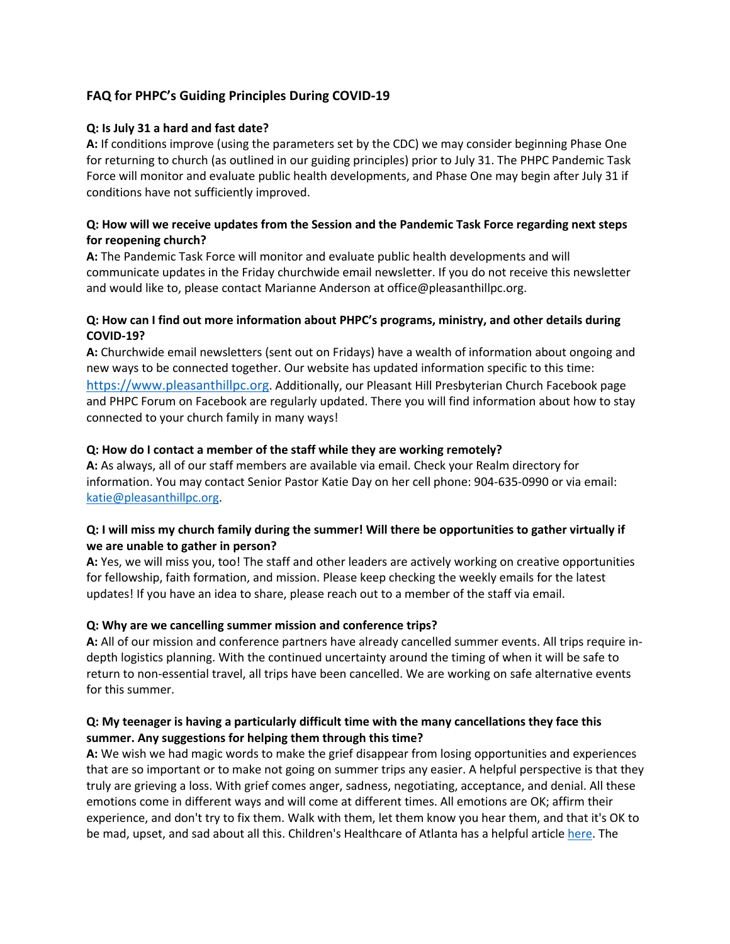# **FAQ for PHPC's Guiding Principles During COVID-19**

#### **Q: Is July 31 a hard and fast date?**

**A:** If conditions improve (using the parameters set by the CDC) we may consider beginning Phase One for returning to church (as outlined in our guiding principles) prior to July 31. The PHPC Pandemic Task Force will monitor and evaluate public health developments, and Phase One may begin after July 31 if conditions have not sufficiently improved.

### **Q: How will we receive updates from the Session and the Pandemic Task Force regarding next steps for reopening church?**

**A:** The Pandemic Task Force will monitor and evaluate public health developments and will communicate updates in the Friday churchwide email newsletter. If you do not receive this newsletter and would like to, please contact Marianne Anderson at office@pleasanthillpc.org.

### **Q: How can I find out more information about PHPC's programs, ministry, and other details during COVID-19?**

**A:** Churchwide email newsletters (sent out on Fridays) have a wealth of information about ongoing and new ways to be connected together. Our website has updated information specific to this time: https://www.pleasanthillpc.org. Additionally, our Pleasant Hill Presbyterian Church Facebook page and PHPC Forum on Facebook are regularly updated. There you will find information about how to stay connected to your church family in many ways!

### **Q: How do I contact a member of the staff while they are working remotely?**

**A:** As always, all of our staff members are available via email. Check your Realm directory for information. You may contact Senior Pastor Katie Day on her cell phone: 904-635-0990 or via email: katie@pleasanthillpc.org.

### **Q: I will miss my church family during the summer! Will there be opportunities to gather virtually if we are unable to gather in person?**

**A:** Yes, we will miss you, too! The staff and other leaders are actively working on creative opportunities for fellowship, faith formation, and mission. Please keep checking the weekly emails for the latest updates! If you have an idea to share, please reach out to a member of the staff via email.

#### **Q: Why are we cancelling summer mission and conference trips?**

**A:** All of our mission and conference partners have already cancelled summer events. All trips require indepth logistics planning. With the continued uncertainty around the timing of when it will be safe to return to non-essential travel, all trips have been cancelled. We are working on safe alternative events for this summer.

### **Q: My teenager is having a particularly difficult time with the many cancellations they face this summer. Any suggestions for helping them through this time?**

**A:** We wish we had magic words to make the grief disappear from losing opportunities and experiences that are so important or to make not going on summer trips any easier. A helpful perspective is that they truly are grieving a loss. With grief comes anger, sadness, negotiating, acceptance, and denial. All these emotions come in different ways and will come at different times. All emotions are OK; affirm their experience, and don't try to fix them. Walk with them, let them know you hear them, and that it's OK to be mad, upset, and sad about all this. Children's Healthcare of Atlanta has a helpful article here. The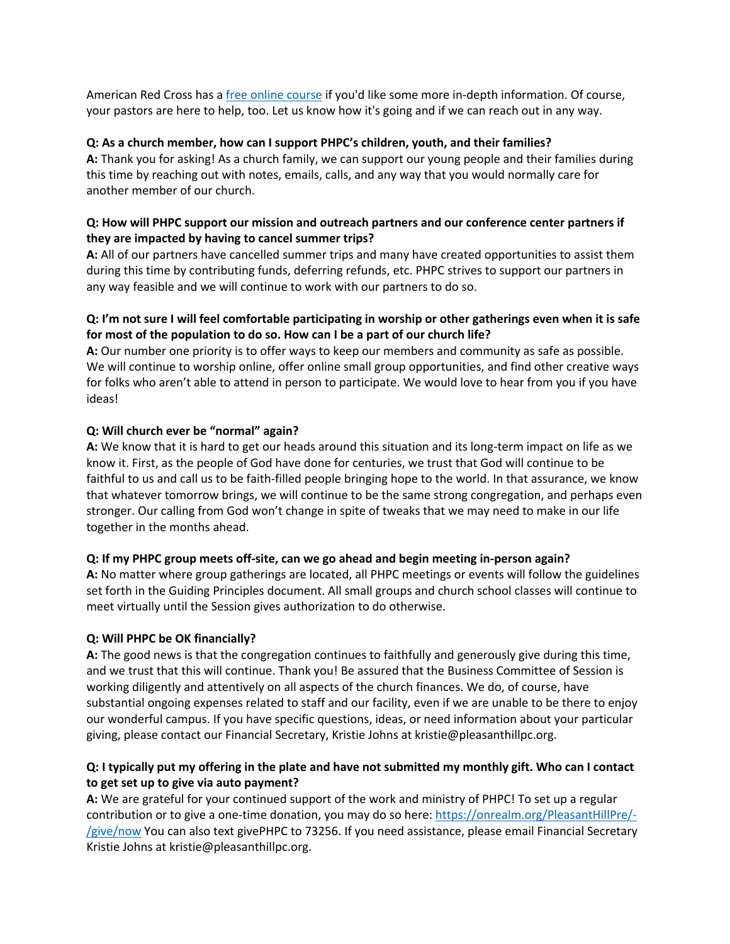American Red Cross has a free online course if you'd like some more in-depth information. Of course, your pastors are here to help, too. Let us know how it's going and if we can reach out in any way.

### **Q: As a church member, how can I support PHPC's children, youth, and their families?**

**A:** Thank you for asking! As a church family, we can support our young people and their families during this time by reaching out with notes, emails, calls, and any way that you would normally care for another member of our church.

### **Q: How will PHPC support our mission and outreach partners and our conference center partners if they are impacted by having to cancel summer trips?**

**A:** All of our partners have cancelled summer trips and many have created opportunities to assist them during this time by contributing funds, deferring refunds, etc. PHPC strives to support our partners in any way feasible and we will continue to work with our partners to do so.

# **Q: I'm not sure I will feel comfortable participating in worship or other gatherings even when it is safe for most of the population to do so. How can I be a part of our church life?**

**A:** Our number one priority is to offer ways to keep our members and community as safe as possible. We will continue to worship online, offer online small group opportunities, and find other creative ways for folks who aren't able to attend in person to participate. We would love to hear from you if you have ideas!

# **Q: Will church ever be "normal" again?**

**A:** We know that it is hard to get our heads around this situation and its long-term impact on life as we know it. First, as the people of God have done for centuries, we trust that God will continue to be faithful to us and call us to be faith-filled people bringing hope to the world. In that assurance, we know that whatever tomorrow brings, we will continue to be the same strong congregation, and perhaps even stronger. Our calling from God won't change in spite of tweaks that we may need to make in our life together in the months ahead.

# **Q: If my PHPC group meets off-site, can we go ahead and begin meeting in-person again?**

**A:** No matter where group gatherings are located, all PHPC meetings or events will follow the guidelines set forth in the Guiding Principles document. All small groups and church school classes will continue to meet virtually until the Session gives authorization to do otherwise.

# **Q: Will PHPC be OK financially?**

**A:** The good news is that the congregation continues to faithfully and generously give during this time, and we trust that this will continue. Thank you! Be assured that the Business Committee of Session is working diligently and attentively on all aspects of the church finances. We do, of course, have substantial ongoing expenses related to staff and our facility, even if we are unable to be there to enjoy our wonderful campus. If you have specific questions, ideas, or need information about your particular giving, please contact our Financial Secretary, Kristie Johns at kristie@pleasanthillpc.org.

# **Q: I typically put my offering in the plate and have not submitted my monthly gift. Who can I contact to get set up to give via auto payment?**

**A:** We are grateful for your continued support of the work and ministry of PHPC! To set up a regular contribution or to give a one-time donation, you may do so here: https://onrealm.org/PleasantHillPre/- /give/now You can also text givePHPC to 73256. If you need assistance, please email Financial Secretary Kristie Johns at kristie@pleasanthillpc.org.